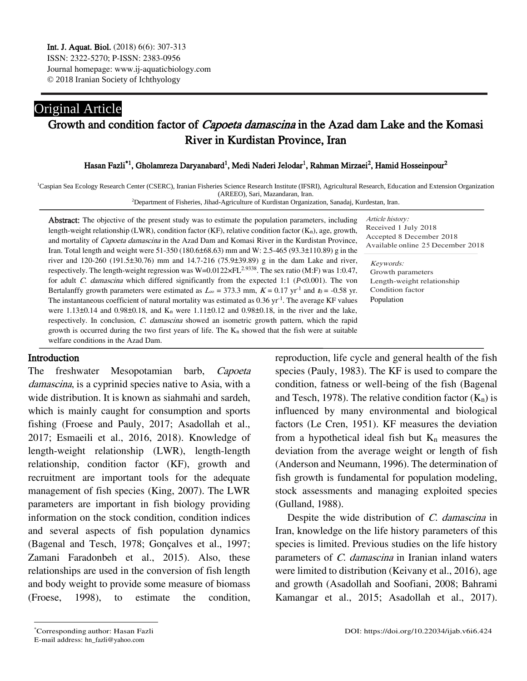## Original Article Growth and condition factor of Capoeta damascina in the Azad dam Lake and the Komasi River in Kurdistan Province, Iran

#### Hasan Fazli<sup>\*1</sup>, Gholamreza Daryanabard<sup>1</sup>, Medi Naderi Jelodar<sup>1</sup>, Rahman Mirzaei<sup>2</sup>, Hamid Hosseinpour<sup>2</sup>

<sup>1</sup>Caspian Sea Ecology Research Center (CSERC), Iranian Fisheries Science Research Institute (IFSRI), Agricultural Research, Education and Extension Organization (AREEO), Sari, Mazandaran, Iran.

<sup>2</sup>Department of Fisheries, Jihad-Agriculture of Kurdistan Organization, Sanadaj, Kurdestan, Iran.

Abstract: The objective of the present study was to estimate the population parameters, including length-weight relationship (LWR), condition factor (KF), relative condition factor (Kn), age, growth, and mortality of Capoeta damascina in the Azad Dam and Komasi River in the Kurdistan Province, Iran. Total length and weight were 51-350 (180.6±68.63) mm and W: 2.5-465 (93.3±110.89) g in the river and 120-260 (191.5±30.76) mm and 14.7-216 (75.9±39.89) g in the dam Lake and river, respectively. The length-weight regression was W=0.0122×FL<sup>2.9338</sup>. The sex ratio (M:F) was 1:0.47, for adult C. damascina which differed significantly from the expected 1:1 (*P*<0.001). The von Bertalanffy growth parameters were estimated as  $L_{\infty} = 373.3$  mm,  $K = 0.17$  yr<sup>-1</sup> and  $t_0 = -0.58$  yr. The instantaneous coefficient of natural mortality was estimated as  $0.36$  yr<sup>-1</sup>. The average KF values were  $1.13\pm0.14$  and  $0.98\pm0.18$ , and  $K_n$  were  $1.11\pm0.12$  and  $0.98\pm0.18$ , in the river and the lake, respectively. In conclusion, C. damascina showed an isometric growth pattern, which the rapid growth is occurred during the two first years of life. The  $K_n$  showed that the fish were at suitable welfare conditions in the Azad Dam.

Article history: Received 1 July 2018 Accepted 8 December 2018 Available online 25 December 2018

Keywords: Growth parameters Length-weight relationship Condition factor Population

#### Introduction

The freshwater Mesopotamian barb, Capoeta damascina, is a cyprinid species native to Asia, with a wide distribution. It is known as siahmahi and sardeh, which is mainly caught for consumption and sports fishing (Froese and Pauly, 2017; Asadollah et al., 2017; Esmaeili et al., 2016, 2018). Knowledge of length-weight relationship (LWR), length-length relationship, condition factor (KF), growth and recruitment are important tools for the adequate management of fish species (King, 2007). The LWR parameters are important in fish biology providing information on the stock condition, condition indices and several aspects of fish population dynamics (Bagenal and Tesch, 1978; Gonçalves et al., 1997; Zamani Faradonbeh et al., 2015). Also, these relationships are used in the conversion of fish length and body weight to provide some measure of biomass (Froese, 1998), to estimate the condition,

reproduction, life cycle and general health of the fish species (Pauly, 1983). The KF is used to compare the condition, fatness or well-being of the fish (Bagenal and Tesch, 1978). The relative condition factor  $(K_n)$  is influenced by many environmental and biological factors (Le Cren, 1951). KF measures the deviation from a hypothetical ideal fish but  $K_n$  measures the deviation from the average weight or length of fish (Anderson and Neumann, 1996). The determination of fish growth is fundamental for population modeling, stock assessments and managing exploited species (Gulland, 1988).

Despite the wide distribution of C. damascina in Iran, knowledge on the life history parameters of this species is limited. Previous studies on the life history parameters of C. damascina in Iranian inland waters were limited to distribution (Keivany et al., 2016), age and growth (Asadollah and Soofiani, 2008; Bahrami Kamangar et al., 2015; Asadollah et al., 2017).

 $\overline{a}$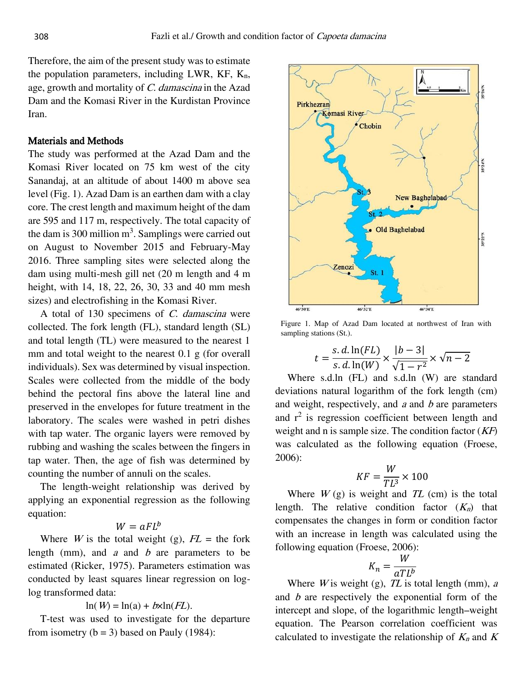Therefore, the aim of the present study was to estimate the population parameters, including LWR,  $KF$ ,  $K_n$ , age, growth and mortality of C. damascina in the Azad Dam and the Komasi River in the Kurdistan Province Iran.

## Materials and Methods

The study was performed at the Azad Dam and the Komasi River located on 75 km west of the city Sanandaj, at an altitude of about 1400 m above sea level (Fig. 1). Azad Dam is an earthen dam with a clay core. The crest length and maximum height of the dam are 595 and 117 m, respectively. The total capacity of the dam is 300 million  $m<sup>3</sup>$ . Samplings were carried out on August to November 2015 and February-May 2016. Three sampling sites were selected along the dam using multi-mesh gill net (20 m length and 4 m height, with 14, 18, 22, 26, 30, 33 and 40 mm mesh sizes) and electrofishing in the Komasi River.

A total of 130 specimens of C. damascina were collected. The fork length (FL), standard length (SL) and total length (TL) were measured to the nearest 1 mm and total weight to the nearest 0.1 g (for overall individuals). Sex was determined by visual inspection. Scales were collected from the middle of the body behind the pectoral fins above the lateral line and preserved in the envelopes for future treatment in the laboratory. The scales were washed in petri dishes with tap water. The organic layers were removed by rubbing and washing the scales between the fingers in tap water. Then, the age of fish was determined by counting the number of annuli on the scales.

The length-weight relationship was derived by applying an exponential regression as the following equation:

$$
W=aFL^b
$$

Where *W* is the total weight (g),  $FL =$  the fork length (mm), and  $a$  and  $b$  are parameters to be estimated (Ricker, 1975). Parameters estimation was conducted by least squares linear regression on loglog transformed data:

$$
\ln(W) = \ln(a) + b \times \ln(FL).
$$

T-test was used to investigate for the departure from isometry  $(b = 3)$  based on Pauly (1984):



Figure 1. Map of Azad Dam located at northwest of Iran with sampling stations (St.).

$$
t = \frac{s. d. \ln(FL)}{s. d. \ln(W)} \times \frac{|b-3|}{\sqrt{1-r^2}} \times \sqrt{n-2}
$$

Where s.d.ln (FL) and s.d.ln (W) are standard deviations natural logarithm of the fork length (cm) and weight, respectively, and  $a$  and  $b$  are parameters and  $r^2$  is regression coefficient between length and weight and n is sample size. The condition factor  $(KF)$ was calculated as the following equation (Froese, 2006):

$$
KF = \frac{W}{TL^3} \times 100
$$

Where  $W(g)$  is weight and  $TL$  (cm) is the total length. The relative condition factor  $(K_n)$  that compensates the changes in form or condition factor with an increase in length was calculated using the following equation (Froese, 2006):

$$
K_n = \frac{W}{aTL^b}
$$

Where  $W$  is weight (g),  $TL$  is total length (mm),  $a$ and <sup>b</sup> are respectively the exponential form of the intercept and slope, of the logarithmic length–weight equation. The Pearson correlation coefficient was calculated to investigate the relationship of  $K_n$  and  $K$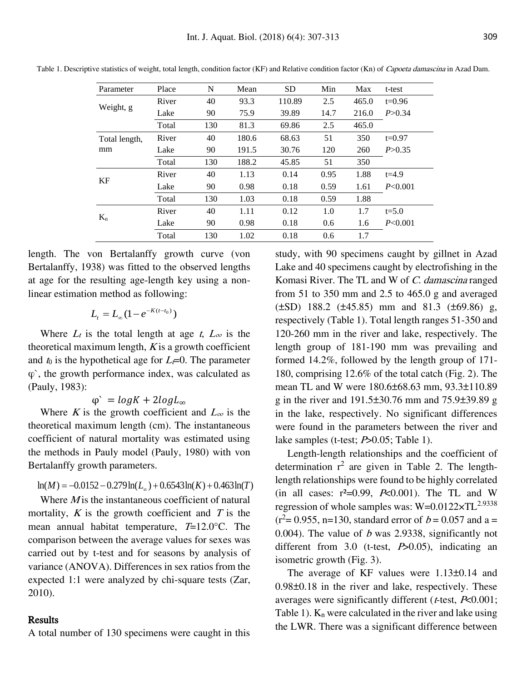| Parameter     | Place | N   | Mean  | <b>SD</b> | Min  | Max   | t-test    |
|---------------|-------|-----|-------|-----------|------|-------|-----------|
|               | River | 40  | 93.3  | 110.89    | 2.5  | 465.0 | $t=0.96$  |
| Weight, g     | Lake  | 90  | 75.9  | 39.89     | 14.7 | 216.0 | P > 0.34  |
|               | Total | 130 | 81.3  | 69.86     | 2.5  | 465.0 |           |
| Total length, | River | 40  | 180.6 | 68.63     | 51   | 350   | $t=0.97$  |
| mm            | Lake  | 90  | 191.5 | 30.76     | 120  | 260   | P > 0.35  |
|               | Total | 130 | 188.2 | 45.85     | 51   | 350   |           |
| KF            | River | 40  | 1.13  | 0.14      | 0.95 | 1.88  | $t = 4.9$ |
|               | Lake  | 90  | 0.98  | 0.18      | 0.59 | 1.61  | P<0.001   |
|               | Total | 130 | 1.03  | 0.18      | 0.59 | 1.88  |           |
|               | River | 40  | 1.11  | 0.12      | 1.0  | 1.7   | $t = 5.0$ |
| $K_n$         | Lake  | 90  | 0.98  | 0.18      | 0.6  | 1.6   | P<0.001   |
|               | Total | 130 | 1.02  | 0.18      | 0.6  | 1.7   |           |

Table 1. Descriptive statistics of weight, total length, condition factor (KF) and Relative condition factor (Kn) of *Capoeta damascina* in Azad Dam.

length. The von Bertalanffy growth curve (von Bertalanffy, 1938) was fitted to the observed lengths at age for the resulting age-length key using a nonlinear estimation method as following:

$$
L_t = L_{\infty} (1 - e^{-K(t - t_0)})
$$

Where  $L_t$  is the total length at age t,  $L_{\infty}$  is the theoretical maximum length,  $K$  is a growth coefficient and  $t_0$  is the hypothetical age for  $L_t=0$ . The parameter φ`, the growth performance index, was calculated as (Pauly, 1983):

 $\varphi$  =  $log K + 2log L_{\infty}$ 

Where K is the growth coefficient and  $L_{\infty}$  is the theoretical maximum length (cm). The instantaneous coefficient of natural mortality was estimated using the methods in Pauly model (Pauly, 1980) with von Bertalanffy growth parameters.

$$
ln(M) = -0.0152 - 0.279 ln(Lo) + 0.6543 ln(K) + 0.463 ln(T)
$$

Where  $M$  is the instantaneous coefficient of natural mortality,  $K$  is the growth coefficient and  $T$  is the mean annual habitat temperature,  $T=12.0$ °C. The comparison between the average values for sexes was carried out by t-test and for seasons by analysis of variance (ANOVA). Differences in sex ratios from the expected 1:1 were analyzed by chi-square tests (Zar, 2010).

## Results

A total number of 130 specimens were caught in this

study, with 90 specimens caught by gillnet in Azad Lake and 40 specimens caught by electrofishing in the Komasi River. The TL and W of C. damascina ranged from 51 to 350 mm and 2.5 to 465.0 g and averaged (±SD) 188.2 (±45.85) mm and 81.3 (±69.86) g, respectively (Table 1). Total length ranges 51-350 and 120-260 mm in the river and lake, respectively. The length group of 181-190 mm was prevailing and formed 14.2%, followed by the length group of 171- 180, comprising 12.6% of the total catch (Fig. 2). The mean TL and W were 180.6±68.63 mm, 93.3±110.89 g in the river and 191.5±30.76 mm and 75.9±39.89 g in the lake, respectively. No significant differences were found in the parameters between the river and lake samples (t-test; *P*>0.05; Table 1).

Length-length relationships and the coefficient of determination  $r^2$  are given in Table 2. The lengthlength relationships were found to be highly correlated (in all cases:  $r^2=0.99$ ,  $P<0.001$ ). The TL and W regression of whole samples was:  $W=0.0122\times TL^{2.9338}$  $(r^2= 0.955, n=130, standard error of b = 0.057 and a =$ 0.004). The value of  $b$  was 2.9338, significantly not different from  $3.0$  (t-test,  $P > 0.05$ ), indicating an isometric growth (Fig. 3).

The average of KF values were 1.13±0.14 and 0.98±0.18 in the river and lake, respectively. These averages were significantly different ( $t$ -test,  $P<0.001$ ; Table 1).  $K_n$  were calculated in the river and lake using the LWR. There was a significant difference between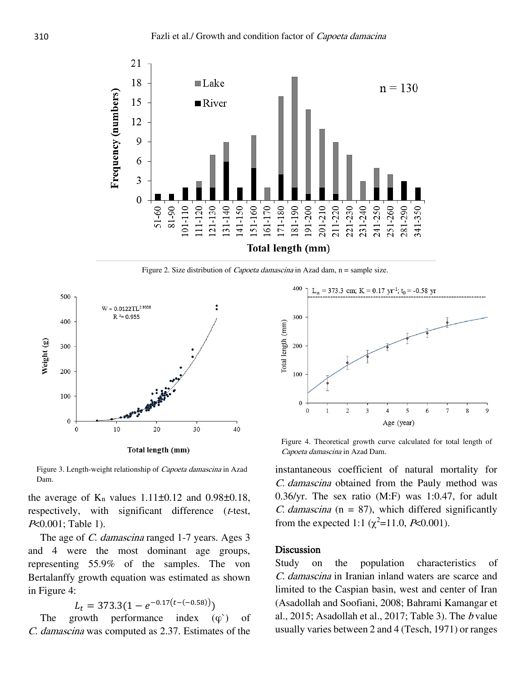

Figure 2. Size distribution of *Capoeta damascina* in Azad dam, n = sample size.



Figure 3. Length-weight relationship of Capoeta damascina in Azad Dam.

the average of  $K_n$  values 1.11 $\pm$ 0.12 and 0.98 $\pm$ 0.18, respectively, with significant difference (t-test, <sup>P</sup><0.001; Table 1).

The age of *C. damascina* ranged 1-7 years. Ages 3 and 4 were the most dominant age groups, representing 55.9% of the samples. The von Bertalanffy growth equation was estimated as shown in Figure 4:

 $L_t = 373.3(1 - e^{-0.17(t - (-0.58))})$ 

The growth performance index  $(\varphi)$  of C. damascina was computed as 2.37. Estimates of the



Figure 4. Theoretical growth curve calculated for total length of Capoeta damascina in Azad Dam.

instantaneous coefficient of natural mortality for C. damascina obtained from the Pauly method was 0.36/yr. The sex ratio (M:F) was 1:0.47, for adult C. damascina ( $n = 87$ ), which differed significantly from the expected 1:1 ( $\chi^2$ =11.0, *P*<0.001).

#### Discussion

Study on the population characteristics of C. damascina in Iranian inland waters are scarce and limited to the Caspian basin, west and center of Iran (Asadollah and Soofiani, 2008; Bahrami Kamangar et al., 2015; Asadollah et al., 2017; Table 3). The  $b$  value usually varies between 2 and 4 (Tesch, 1971) or ranges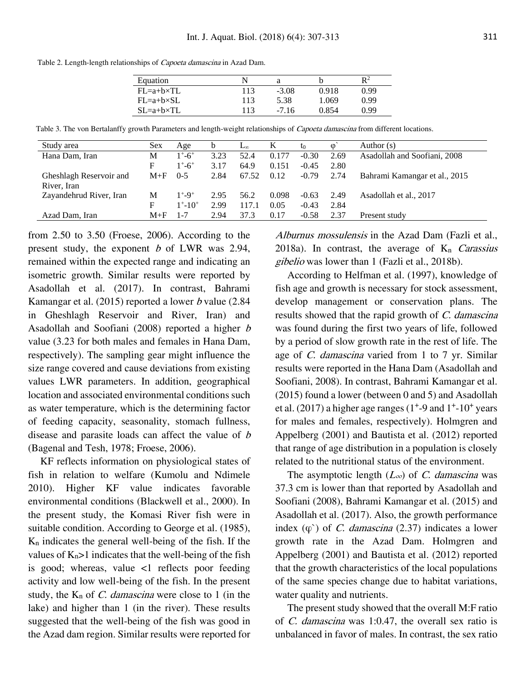Equation N a b  $R^2$ FL=a+b×TL 113 -3.08 0.918 0.99 FL=a+b×SL 113 5.38 1.069 0.99 SL=a+b×TL 113 -7.16 0.854 0.99

Table 2. Length-length relationships of Capoeta damascina in Azad Dam.

|  | Table 3. The von Bertalanffy growth Parameters and length-weight relationships of Capoeta damascina from different locations. |  |  |  |  |  |  |
|--|-------------------------------------------------------------------------------------------------------------------------------|--|--|--|--|--|--|
|  |                                                                                                                               |  |  |  |  |  |  |

| Study area              | <b>Sex</b> | Age                         | b    | $L_{\infty}$ | K     | t0      | $\omega$ | Author $(s)$                  |
|-------------------------|------------|-----------------------------|------|--------------|-------|---------|----------|-------------------------------|
| Hana Dam, Iran          | М          | $1^+$ -6 <sup>+</sup>       | 3.23 | 52.4         | 0.177 | $-0.30$ | 2.69     | Asadollah and Soofiani, 2008  |
|                         | F          | $1^{\circ}$ -6 <sup>+</sup> | 3.17 | 64.9         | 0.151 | $-0.45$ | 2.80     |                               |
| Gheshlagh Reservoir and | $M + F$    | $0-5$                       | 2.84 | 67.52        | 0.12  | $-0.79$ | 2.74     | Bahrami Kamangar et al., 2015 |
| River, Iran             |            |                             |      |              |       |         |          |                               |
| Zayandehrud River, Iran | М          | $1^{+} - 9^{+}$             | 2.95 | 56.2         | 0.098 | $-0.63$ | 2.49     | Asadollah et al., 2017        |
|                         | F          | $1^+ - 10^+$                | 2.99 | 117.1        | 0.05  | $-0.43$ | 2.84     |                               |
| Azad Dam, Iran          | $M + F$    | $1 - 7$                     | 2.94 | 37.3         | 0.17  | $-0.58$ | 2.37     | Present study                 |

from 2.50 to 3.50 (Froese, 2006). According to the present study, the exponent  $b$  of LWR was 2.94, remained within the expected range and indicating an isometric growth. Similar results were reported by Asadollah et al. (2017). In contrast, Bahrami Kamangar et al. (2015) reported a lower b value (2.84 in Gheshlagh Reservoir and River, Iran) and Asadollah and Soofiani (2008) reported a higher <sup>b</sup> value (3.23 for both males and females in Hana Dam, respectively). The sampling gear might influence the size range covered and cause deviations from existing values LWR parameters. In addition, geographical location and associated environmental conditions such as water temperature, which is the determining factor of feeding capacity, seasonality, stomach fullness, disease and parasite loads can affect the value of <sup>b</sup> (Bagenal and Tesh, 1978; Froese, 2006).

KF reflects information on physiological states of fish in relation to welfare (Kumolu and Ndimele 2010). Higher KF value indicates favorable environmental conditions (Blackwell et al., 2000). In the present study, the Komasi River fish were in suitable condition. According to George et al. (1985),  $K_n$  indicates the general well-being of the fish. If the values of  $K_n$ >1 indicates that the well-being of the fish is good; whereas, value  $\lt 1$  reflects poor feeding activity and low well-being of the fish. In the present study, the  $K_n$  of *C. damascina* were close to 1 (in the lake) and higher than 1 (in the river). These results suggested that the well-being of the fish was good in the Azad dam region. Similar results were reported for

Alburnus mossulensis in the Azad Dam (Fazli et al., 2018a). In contrast, the average of  $K_n$  Carassius gibelio was lower than 1 (Fazli et al., 2018b).

According to Helfman et al. (1997), knowledge of fish age and growth is necessary for stock assessment, develop management or conservation plans. The results showed that the rapid growth of C. damascina was found during the first two years of life, followed by a period of slow growth rate in the rest of life. The age of C. damascina varied from 1 to 7 yr. Similar results were reported in the Hana Dam (Asadollah and Soofiani, 2008). In contrast, Bahrami Kamangar et al. (2015) found a lower (between 0 and 5) and Asadollah et al.  $(2017)$  a higher age ranges  $(1<sup>+</sup>-9$  and  $1<sup>+</sup>-10<sup>+</sup>$  years for males and females, respectively). Holmgren and Appelberg (2001) and Bautista et al. (2012) reported that range of age distribution in a population is closely related to the nutritional status of the environment.

The asymptotic length  $(L_{\infty})$  of C. damascina was 37.3 cm is lower than that reported by Asadollah and Soofiani (2008), Bahrami Kamangar et al. (2015) and Asadollah et al. (2017). Also, the growth performance index  $(\varphi)$  of *C. damascina* (2.37) indicates a lower growth rate in the Azad Dam. Holmgren and Appelberg (2001) and Bautista et al. (2012) reported that the growth characteristics of the local populations of the same species change due to habitat variations, water quality and nutrients.

The present study showed that the overall M:F ratio of C. damascina was 1:0.47, the overall sex ratio is unbalanced in favor of males. In contrast, the sex ratio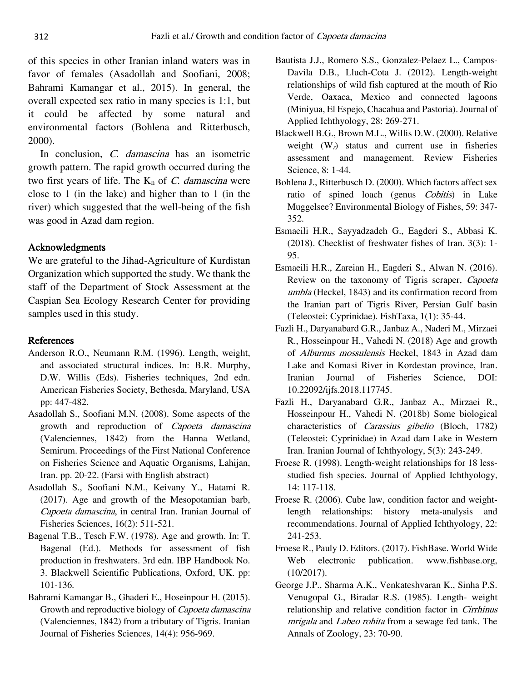of this species in other Iranian inland waters was in favor of females (Asadollah and Soofiani, 2008; Bahrami Kamangar et al., 2015). In general, the overall expected sex ratio in many species is 1:1, but it could be affected by some natural and environmental factors (Bohlena and Ritterbusch, 2000).

In conclusion, *C. damascina* has an isometric growth pattern. The rapid growth occurred during the two first years of life. The  $K_n$  of C. damascina were close to 1 (in the lake) and higher than to 1 (in the river) which suggested that the well-being of the fish was good in Azad dam region.

## Acknowledgments

We are grateful to the Jihad-Agriculture of Kurdistan Organization which supported the study. We thank the staff of the Department of Stock Assessment at the Caspian Sea Ecology Research Center for providing samples used in this study.

## References

- Anderson R.O., Neumann R.M. (1996). Length, weight, and associated structural indices. In: B.R. Murphy, D.W. Willis (Eds). Fisheries techniques, 2nd edn. American Fisheries Society, Bethesda, Maryland, USA pp: 447-482.
- Asadollah S., Soofiani M.N. (2008). Some aspects of the growth and reproduction of Capoeta damascina (Valenciennes, 1842) from the Hanna Wetland, Semirum. Proceedings of the First National Conference on Fisheries Science and Aquatic Organisms, Lahijan, Iran. pp. 20-22. (Farsi with English abstract)
- Asadollah S., Soofiani N.M., Keivany Y., Hatami R. (2017). Age and growth of the Mesopotamian barb, Capoeta damascina, in central Iran. Iranian Journal of Fisheries Sciences, 16(2): 511-521.
- Bagenal T.B., Tesch F.W. (1978). Age and growth. In: T. Bagenal (Ed.). Methods for assessment of fish production in freshwaters. 3rd edn. IBP Handbook No. 3. Blackwell Scientific Publications, Oxford, UK. pp: 101-136.
- Bahrami Kamangar B., Ghaderi E., Hoseinpour H. (2015). Growth and reproductive biology of Capoeta damascina (Valenciennes, 1842) from a tributary of Tigris. Iranian Journal of Fisheries Sciences, 14(4): 956-969.
- Bautista J.J., Romero S.S., Gonzalez-Pelaez L., Campos-Davila D.B., Lluch-Cota J. (2012). Length-weight relationships of wild fish captured at the mouth of Rio Verde, Oaxaca, Mexico and connected lagoons (Miniyua, El Espejo, Chacahua and Pastoria). Journal of Applied Ichthyology, 28: 269-271.
- Blackwell B.G., Brown M.L., Willis D.W. (2000). Relative weight  $(W<sub>r</sub>)$  status and current use in fisheries assessment and management. Review Fisheries Science, 8: 1-44.
- Bohlena J., Ritterbusch D. (2000). Which factors affect sex ratio of spined loach (genus Cobitis) in Lake Muggelsee? Environmental Biology of Fishes, 59: 347- 352.
- Esmaeili H.R., Sayyadzadeh G., Eagderi S., Abbasi K. (2018). Checklist of freshwater fishes of Iran. 3(3): 1- 95.
- Esmaeili H.R., Zareian H., Eagderi S., Alwan N. (2016). Review on the taxonomy of Tigris scraper, Capoeta umbla (Heckel, 1843) and its confirmation record from the Iranian part of Tigris River, Persian Gulf basin (Teleostei: Cyprinidae). FishTaxa, 1(1): 35-44.
- Fazli H., Daryanabard G.R., Janbaz A., Naderi M., Mirzaei R., Hosseinpour H., Vahedi N. (2018) Age and growth of Alburnus mossulensis Heckel, 1843 in Azad dam Lake and Komasi River in Kordestan province, Iran. Iranian Journal of Fisheries Science, DOI: 10.22092/ijfs.2018.117745.
- Fazli H., Daryanabard G.R., Janbaz A., Mirzaei R., Hosseinpour H., Vahedi N. (2018b) Some biological characteristics of Carassius gibelio (Bloch, 1782) (Teleostei: Cyprinidae) in Azad dam Lake in Western Iran. Iranian Journal of Ichthyology, 5(3): 243-249.
- Froese R. (1998). Length-weight relationships for 18 lessstudied fish species. Journal of Applied Ichthyology, 14: 117-118.
- Froese R. (2006). Cube law, condition factor and weightlength relationships: history meta-analysis and recommendations. Journal of Applied Ichthyology, 22: 241-253.
- Froese R., Pauly D. Editors. (2017). FishBase. World Wide Web electronic publication. www.fishbase.org, (10/2017).
- George J.P., Sharma A.K., Venkateshvaran K., Sinha P.S. Venugopal G., Biradar R.S. (1985). Length- weight relationship and relative condition factor in Cirrhinus mrigala and Labeo rohita from a sewage fed tank. The Annals of Zoology, 23: 70-90.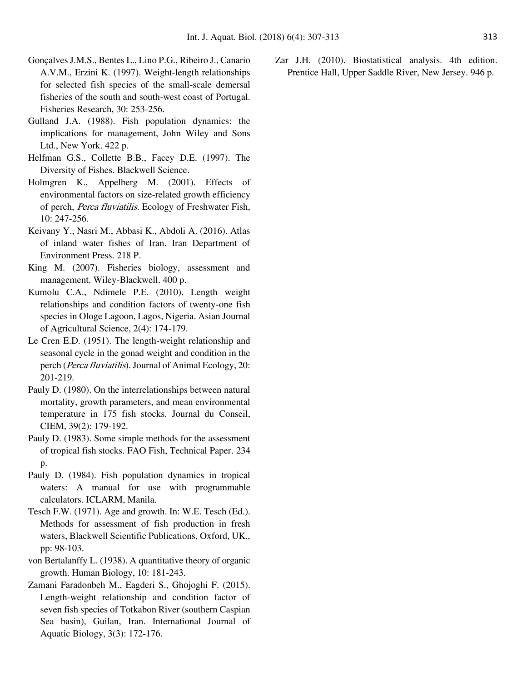- Gonçalves J.M.S., Bentes L., Lino P.G., Ribeiro J., Canario A.V.M., Erzini K. (1997). Weight-length relationships for selected fish species of the small-scale demersal fisheries of the south and south-west coast of Portugal. Fisheries Research, 30: 253-256.
- Gulland J.A. (1988). Fish population dynamics: the implications for management, John Wiley and Sons Ltd., New York. 422 p.
- Helfman G.S., Collette B.B., Facey D.E. (1997). The Diversity of Fishes. Blackwell Science.
- Holmgren K., Appelberg M. (2001). Effects of environmental factors on size-related growth efficiency of perch, Perca fluviatilis. Ecology of Freshwater Fish, 10: 247-256.
- Keivany Y., Nasri M., Abbasi K., Abdoli A. (2016). Atlas of inland water fishes of Iran. Iran Department of Environment Press. 218 P.
- King M. (2007). Fisheries biology, assessment and management. Wiley-Blackwell. 400 p.
- Kumolu C.A., Ndimele P.E. (2010). Length weight relationships and condition factors of twenty-one fish species in Ologe Lagoon, Lagos, Nigeria. Asian Journal of Agricultural Science, 2(4): 174-179.
- Le Cren E.D. (1951). The length-weight relationship and seasonal cycle in the gonad weight and condition in the perch (Perca fluviatilis). Journal of Animal Ecology, 20: 201-219.
- Pauly D. (1980). On the interrelationships between natural mortality, growth parameters, and mean environmental temperature in 175 fish stocks. Journal du Conseil, CIEM, 39(2): 179-192.
- Pauly D. (1983). Some simple methods for the assessment of tropical fish stocks. FAO Fish, Technical Paper. 234 p.
- Pauly D. (1984). Fish population dynamics in tropical waters: A manual for use with programmable calculators. ICLARM, Manila.
- Tesch F.W. (1971). Age and growth. In: W.E. Tesch (Ed.). Methods for assessment of fish production in fresh waters, Blackwell Scientific Publications, Oxford, UK., pp: 98-103.
- von Bertalanffy L. (1938). A quantitative theory of organic growth. Human Biology, 10: 181-243.
- Zamani Faradonbeh M., Eagderi S., Ghojoghi F. (2015). Length-weight relationship and condition factor of seven fish species of Totkabon River (southern Caspian Sea basin), Guilan, Iran. International Journal of Aquatic Biology, 3(3): 172-176.

Zar J.H. (2010). Biostatistical analysis. 4th edition. Prentice Hall, Upper Saddle River, New Jersey. 946 p.